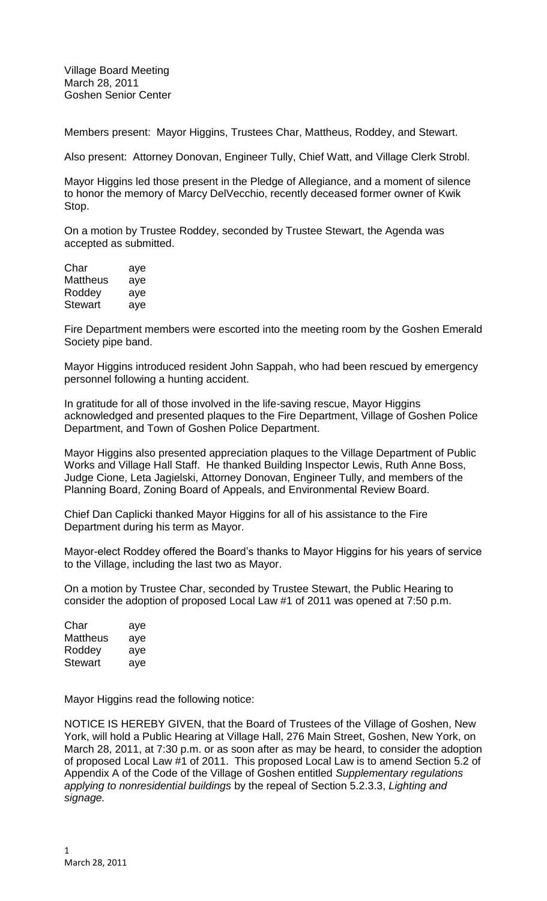Members present: Mayor Higgins, Trustees Char, Mattheus, Roddey, and Stewart.

Also present: Attorney Donovan, Engineer Tully, Chief Watt, and Village Clerk Strobl.

Mayor Higgins led those present in the Pledge of Allegiance, and a moment of silence to honor the memory of Marcy DelVecchio, recently deceased former owner of Kwik Stop.

On a motion by Trustee Roddey, seconded by Trustee Stewart, the Agenda was accepted as submitted.

| Char     | aye |
|----------|-----|
| Mattheus | aye |
| Roddey   | aye |
| Stewart  | aye |

Fire Department members were escorted into the meeting room by the Goshen Emerald Society pipe band.

Mayor Higgins introduced resident John Sappah, who had been rescued by emergency personnel following a hunting accident.

In gratitude for all of those involved in the life-saving rescue, Mayor Higgins acknowledged and presented plaques to the Fire Department, Village of Goshen Police Department, and Town of Goshen Police Department.

Mayor Higgins also presented appreciation plaques to the Village Department of Public Works and Village Hall Staff. He thanked Building Inspector Lewis, Ruth Anne Boss, Judge Cione, Leta Jagielski, Attorney Donovan, Engineer Tully, and members of the Planning Board, Zoning Board of Appeals, and Environmental Review Board.

Chief Dan Caplicki thanked Mayor Higgins for all of his assistance to the Fire Department during his term as Mayor.

Mayor-elect Roddey offered the Board's thanks to Mayor Higgins for his years of service to the Village, including the last two as Mayor.

On a motion by Trustee Char, seconded by Trustee Stewart, the Public Hearing to consider the adoption of proposed Local Law #1 of 2011 was opened at 7:50 p.m.

| Char     | aye |
|----------|-----|
| Mattheus | aye |
| Roddey   | aye |
| Stewart  | aye |

Mayor Higgins read the following notice:

NOTICE IS HEREBY GIVEN, that the Board of Trustees of the Village of Goshen, New York, will hold a Public Hearing at Village Hall, 276 Main Street, Goshen, New York, on March 28, 2011, at 7:30 p.m. or as soon after as may be heard, to consider the adoption of proposed Local Law #1 of 2011. This proposed Local Law is to amend Section 5.2 of Appendix A of the Code of the Village of Goshen entitled *Supplementary regulations applying to nonresidential buildings* by the repeal of Section 5.2.3.3, *Lighting and signage.*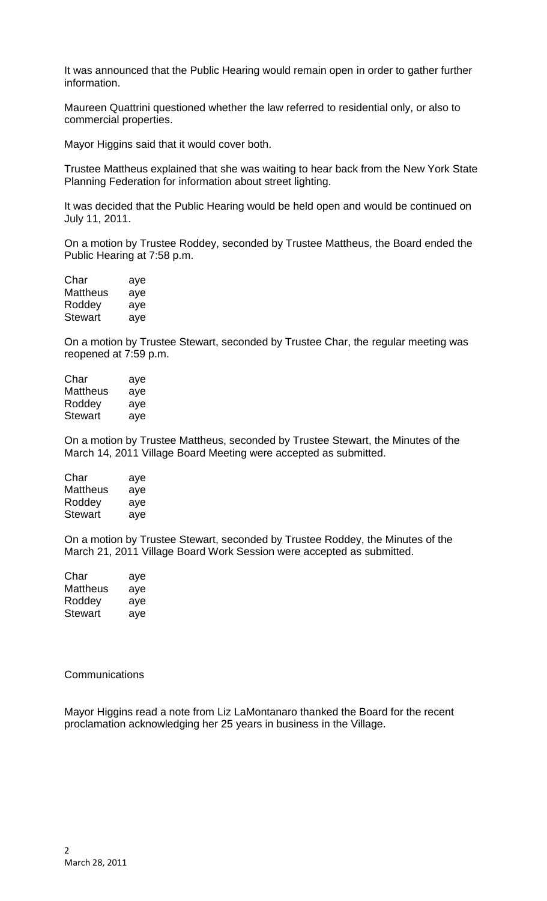It was announced that the Public Hearing would remain open in order to gather further information.

Maureen Quattrini questioned whether the law referred to residential only, or also to commercial properties.

Mayor Higgins said that it would cover both.

Trustee Mattheus explained that she was waiting to hear back from the New York State Planning Federation for information about street lighting.

It was decided that the Public Hearing would be held open and would be continued on July 11, 2011.

On a motion by Trustee Roddey, seconded by Trustee Mattheus, the Board ended the Public Hearing at 7:58 p.m.

| Char           | aye |
|----------------|-----|
| Mattheus       | aye |
| Roddey         | aye |
| <b>Stewart</b> | aye |

On a motion by Trustee Stewart, seconded by Trustee Char, the regular meeting was reopened at 7:59 p.m.

| Char     | aye |
|----------|-----|
| Mattheus | aye |
| Roddey   | aye |
| Stewart  | aye |

On a motion by Trustee Mattheus, seconded by Trustee Stewart, the Minutes of the March 14, 2011 Village Board Meeting were accepted as submitted.

| Char     | aye |
|----------|-----|
| Mattheus | aye |
| Roddey   | aye |
| Stewart  | aye |

On a motion by Trustee Stewart, seconded by Trustee Roddey, the Minutes of the March 21, 2011 Village Board Work Session were accepted as submitted.

| Char           | aye |
|----------------|-----|
| Mattheus       | aye |
| Roddey         | aye |
| <b>Stewart</b> | aye |

**Communications** 

Mayor Higgins read a note from Liz LaMontanaro thanked the Board for the recent proclamation acknowledging her 25 years in business in the Village.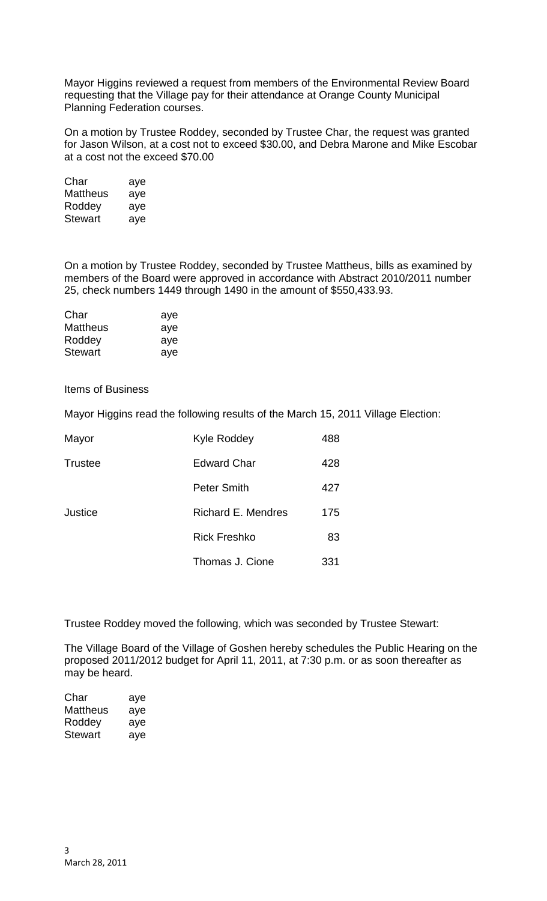Mayor Higgins reviewed a request from members of the Environmental Review Board requesting that the Village pay for their attendance at Orange County Municipal Planning Federation courses.

On a motion by Trustee Roddey, seconded by Trustee Char, the request was granted for Jason Wilson, at a cost not to exceed \$30.00, and Debra Marone and Mike Escobar at a cost not the exceed \$70.00

| Char     | aye |
|----------|-----|
| Mattheus | aye |
| Roddey   | aye |
| Stewart  | aye |

On a motion by Trustee Roddey, seconded by Trustee Mattheus, bills as examined by members of the Board were approved in accordance with Abstract 2010/2011 number 25, check numbers 1449 through 1490 in the amount of \$550,433.93.

| Char            | aye |
|-----------------|-----|
| <b>Mattheus</b> | aye |
| Roddey          | aye |
| <b>Stewart</b>  | ave |

Items of Business

Mayor Higgins read the following results of the March 15, 2011 Village Election:

| Mayor          | <b>Kyle Roddey</b>  | 488 |
|----------------|---------------------|-----|
| <b>Trustee</b> | <b>Edward Char</b>  | 428 |
|                | <b>Peter Smith</b>  | 427 |
| Justice        | Richard E. Mendres  | 175 |
|                | <b>Rick Freshko</b> | 83  |
|                | Thomas J. Cione     | 331 |

Trustee Roddey moved the following, which was seconded by Trustee Stewart:

The Village Board of the Village of Goshen hereby schedules the Public Hearing on the proposed 2011/2012 budget for April 11, 2011, at 7:30 p.m. or as soon thereafter as may be heard.

| Char     | aye |
|----------|-----|
| Mattheus | aye |
| Roddey   | aye |
| Stewart  | aye |